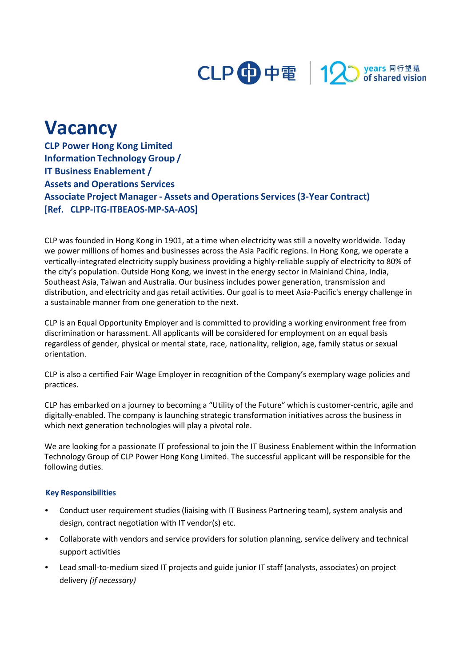

## **Vacancy**

**CLP Power Hong Kong Limited Information Technology Group / IT Business Enablement / Assets and Operations Services Associate Project Manager - Assets and Operations Services(3-Year Contract) [Ref. CLPP-ITG-ITBEAOS-MP-SA-AOS]**

CLP was founded in Hong Kong in 1901, at a time when electricity was still a novelty worldwide. Today we power millions of homes and businesses across the Asia Pacific regions. In Hong Kong, we operate a vertically-integrated electricity supply business providing a highly-reliable supply of electricity to 80% of the city's population. Outside Hong Kong, we invest in the energy sector in Mainland China, India, Southeast Asia, Taiwan and Australia. Our business includes power generation, transmission and distribution, and electricity and gas retail activities. Our goal is to meet Asia-Pacific's energy challenge in a sustainable manner from one generation to the next.

CLP is an Equal Opportunity Employer and is committed to providing a working environment free from discrimination or harassment. All applicants will be considered for employment on an equal basis regardless of gender, physical or mental state, race, nationality, religion, age, family status or sexual orientation.

CLP is also a certified Fair Wage Employer in recognition of the Company's exemplary wage policies and practices.

CLP has embarked on a journey to becoming a "Utility of the Future" which is customer-centric, agile and digitally-enabled. The company is launching strategic transformation initiatives across the business in which next generation technologies will play a pivotal role.

We are looking for a passionate IT professional to join the IT Business Enablement within the Information Technology Group of CLP Power Hong Kong Limited. The successful applicant will be responsible for the following duties.

## **Key Responsibilities**

- **•** Conduct user requirement studies (liaising with IT Business Partnering team), system analysis and design, contract negotiation with IT vendor(s) etc.
- **•** Collaborate with vendors and service providers for solution planning, service delivery and technical support activities
- **•** Lead small-to-medium sized IT projects and guide junior IT staff (analysts, associates) on project delivery *(if necessary)*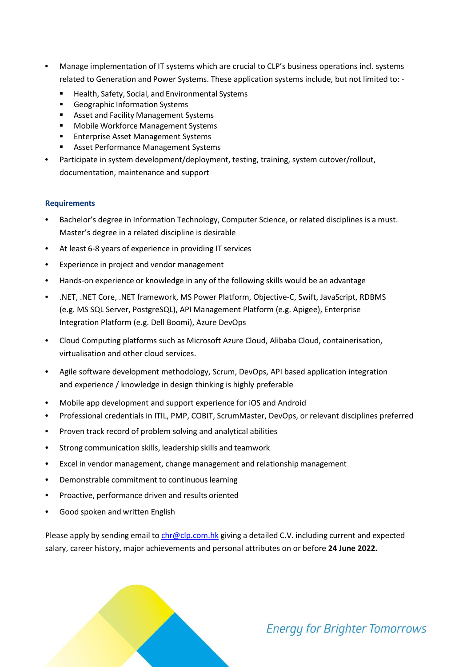- **•** Manage implementation of IT systems which are crucial to CLP's business operations incl. systems related to Generation and Power Systems. These application systems include, but not limited to: -
	- Health, Safety, Social, and Environmental Systems
	- Geographic Information Systems
	- Asset and Facility Management Systems
	- Mobile Workforce Management Systems
	- Enterprise Asset Management Systems
	- Asset Performance Management Systems
- **•** Participate in system development/deployment, testing, training, system cutover/rollout, documentation, maintenance and support

## **Requirements**

- **•** Bachelor's degree in Information Technology, Computer Science, or related disciplines is a must. Master's degree in a related discipline is desirable
- **•** At least 6-8 years of experience in providing IT services
- **•** Experience in project and vendor management
- **•** Hands-on experience or knowledge in any of the following skills would be an advantage
- **•** .NET, .NET Core, .NET framework, MS Power Platform, Objective-C, Swift, JavaScript, RDBMS (e.g. MS SQL Server, PostgreSQL), API Management Platform (e.g. Apigee), Enterprise Integration Platform (e.g. Dell Boomi), Azure DevOps
- **•** Cloud Computing platforms such as Microsoft Azure Cloud, Alibaba Cloud, containerisation, virtualisation and other cloud services.
- **•** Agile software development methodology, Scrum, DevOps, API based application integration and experience / knowledge in design thinking is highly preferable
- **•** Mobile app development and support experience for iOS and Android
- **•** Professional credentials in ITIL, PMP, COBIT, ScrumMaster, DevOps, or relevant disciplines preferred
- **•** Proven track record of problem solving and analytical abilities
- **•** Strong communication skills, leadership skills and teamwork
- **•** Excel in vendor management, change management and relationship management
- **•** Demonstrable commitment to continuous learning
- **•** Proactive, performance driven and results oriented
- **•** Good spoken and written English

Please apply by sending email to [chr@clp.com.hk](mailto:chr@clp.com.hk) giving a detailed C.V. including current and expected salary, career history, major achievements and personal attributes on or before **24 June 2022.**

## **Energy for Brighter Tomorrows**